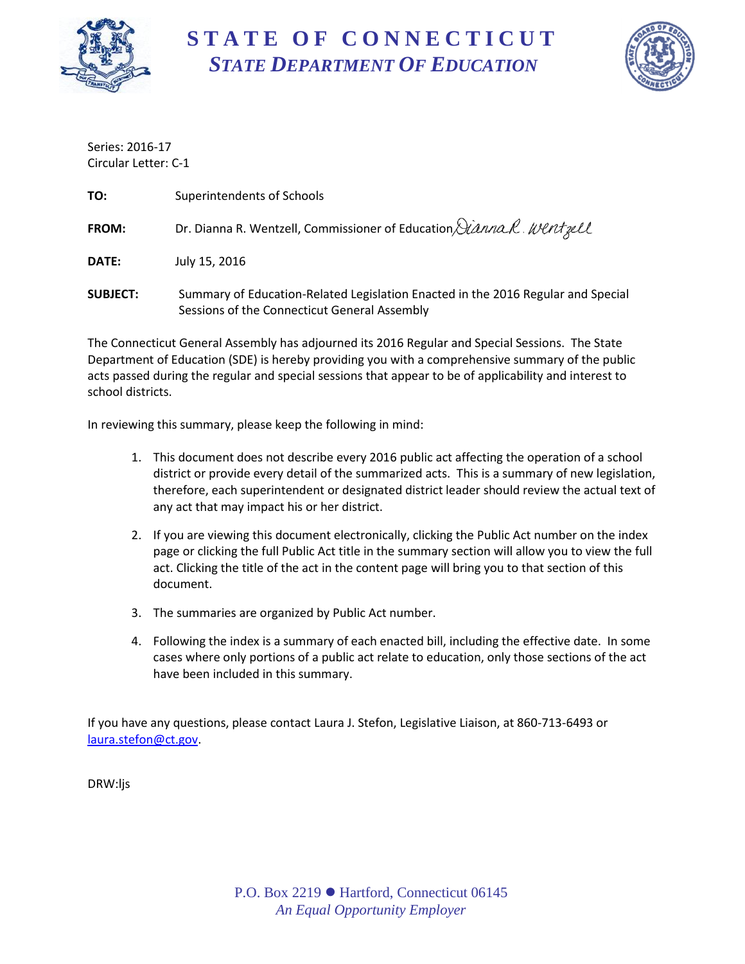

# **S T A T E O F C O N N E C T I C U T** *STATE DEPARTMENT OF EDUCATION*



Series: 2016-17 Circular Letter: C-1

| TO:             | Superintendents of Schools                                                                                                       |
|-----------------|----------------------------------------------------------------------------------------------------------------------------------|
| <b>FROM:</b>    | Dr. Dianna R. Wentzell, Commissioner of Education Dianna R. Wentzell                                                             |
| DATE:           | July 15, 2016                                                                                                                    |
| <b>SUBJECT:</b> | Summary of Education-Related Legislation Enacted in the 2016 Regular and Special<br>Sessions of the Connecticut General Assembly |

The Connecticut General Assembly has adjourned its 2016 Regular and Special Sessions. The State Department of Education (SDE) is hereby providing you with a comprehensive summary of the public acts passed during the regular and special sessions that appear to be of applicability and interest to school districts.

In reviewing this summary, please keep the following in mind:

- 1. This document does not describe every 2016 public act affecting the operation of a school district or provide every detail of the summarized acts. This is a summary of new legislation, therefore, each superintendent or designated district leader should review the actual text of any act that may impact his or her district.
- 2. If you are viewing this document electronically, clicking the Public Act number on the index page or clicking the full Public Act title in the summary section will allow you to view the full act. Clicking the title of the act in the content page will bring you to that section of this document.
- 3. The summaries are organized by Public Act number.
- 4. Following the index is a summary of each enacted bill, including the effective date. In some cases where only portions of a public act relate to education, only those sections of the act have been included in this summary.

If you have any questions, please contact Laura J. Stefon, Legislative Liaison, at 860-713-6493 or [laura.stefon@ct.gov.](mailto:laura.stefon@ct.gov)

DRW:ljs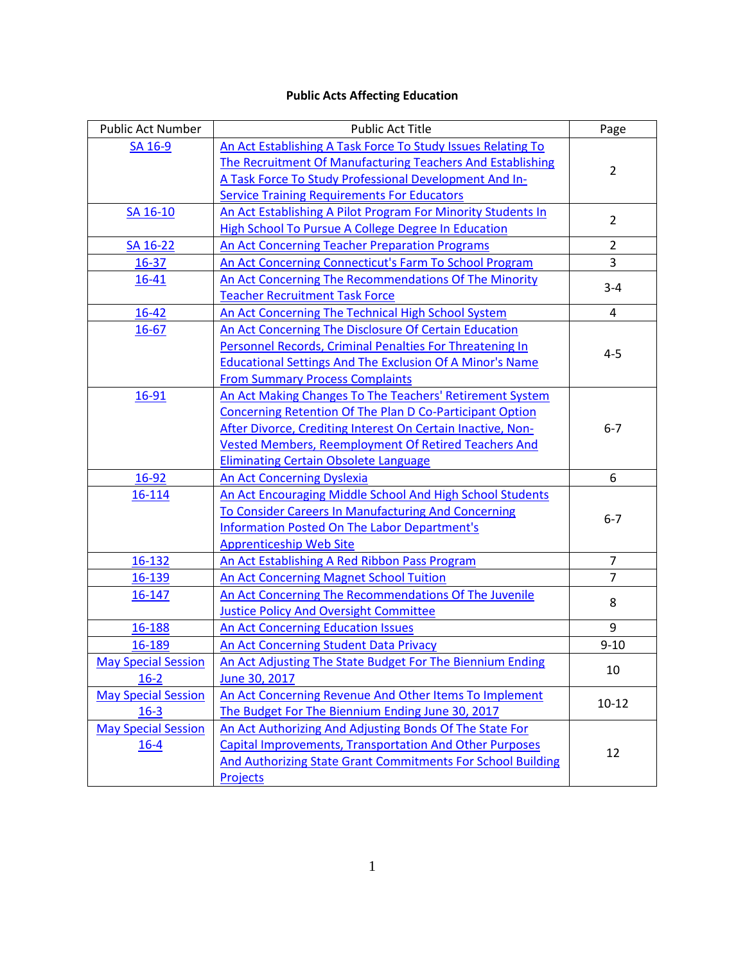## **Public Acts Affecting Education**

<span id="page-1-0"></span>

| Public Act Number                      | <b>Public Act Title</b>                                                                                                                                                                                                                                                                            | Page           |
|----------------------------------------|----------------------------------------------------------------------------------------------------------------------------------------------------------------------------------------------------------------------------------------------------------------------------------------------------|----------------|
| SA 16-9                                | An Act Establishing A Task Force To Study Issues Relating To<br>The Recruitment Of Manufacturing Teachers And Establishing<br>A Task Force To Study Professional Development And In-                                                                                                               | $\overline{2}$ |
|                                        | <b>Service Training Requirements For Educators</b>                                                                                                                                                                                                                                                 |                |
| SA 16-10                               | An Act Establishing A Pilot Program For Minority Students In<br><b>High School To Pursue A College Degree In Education</b>                                                                                                                                                                         | $\overline{2}$ |
| SA 16-22                               | <b>An Act Concerning Teacher Preparation Programs</b>                                                                                                                                                                                                                                              | $\overline{2}$ |
| $16 - 37$                              | An Act Concerning Connecticut's Farm To School Program                                                                                                                                                                                                                                             | 3              |
| 16-41                                  | An Act Concerning The Recommendations Of The Minority                                                                                                                                                                                                                                              |                |
|                                        | <b>Teacher Recruitment Task Force</b>                                                                                                                                                                                                                                                              | $3 - 4$        |
| 16-42                                  | An Act Concerning The Technical High School System                                                                                                                                                                                                                                                 | $\overline{4}$ |
| $16 - 67$                              | An Act Concerning The Disclosure Of Certain Education<br>Personnel Records, Criminal Penalties For Threatening In<br><b>Educational Settings And The Exclusion Of A Minor's Name</b><br><b>From Summary Process Complaints</b>                                                                     | $4 - 5$        |
| 16-91                                  | An Act Making Changes To The Teachers' Retirement System<br>Concerning Retention Of The Plan D Co-Participant Option<br>After Divorce, Crediting Interest On Certain Inactive, Non-<br><b>Vested Members, Reemployment Of Retired Teachers And</b><br><b>Eliminating Certain Obsolete Language</b> | $6 - 7$        |
| 16-92                                  | An Act Concerning Dyslexia                                                                                                                                                                                                                                                                         | 6              |
| 16-114                                 | An Act Encouraging Middle School And High School Students<br>To Consider Careers In Manufacturing And Concerning<br><b>Information Posted On The Labor Department's</b><br><b>Apprenticeship Web Site</b>                                                                                          | $6 - 7$        |
| 16-132                                 | An Act Establishing A Red Ribbon Pass Program                                                                                                                                                                                                                                                      | $\overline{7}$ |
| 16-139                                 | <b>An Act Concerning Magnet School Tuition</b>                                                                                                                                                                                                                                                     | $\overline{7}$ |
| 16-147                                 | An Act Concerning The Recommendations Of The Juvenile<br><b>Justice Policy And Oversight Committee</b>                                                                                                                                                                                             | 8              |
| 16-188                                 | An Act Concerning Education Issues                                                                                                                                                                                                                                                                 | 9              |
| 16-189                                 | An Act Concerning Student Data Privacy                                                                                                                                                                                                                                                             | $9 - 10$       |
| <b>May Special Session</b><br>$16 - 2$ | An Act Adjusting The State Budget For The Biennium Ending<br>June 30, 2017                                                                                                                                                                                                                         | 10             |
| <b>May Special Session</b><br>$16 - 3$ | An Act Concerning Revenue And Other Items To Implement<br>The Budget For The Biennium Ending June 30, 2017                                                                                                                                                                                         | $10 - 12$      |
| <b>May Special Session</b><br>$16 - 4$ | An Act Authorizing And Adjusting Bonds Of The State For<br><b>Capital Improvements, Transportation And Other Purposes</b><br>And Authorizing State Grant Commitments For School Building<br><b>Projects</b>                                                                                        | 12             |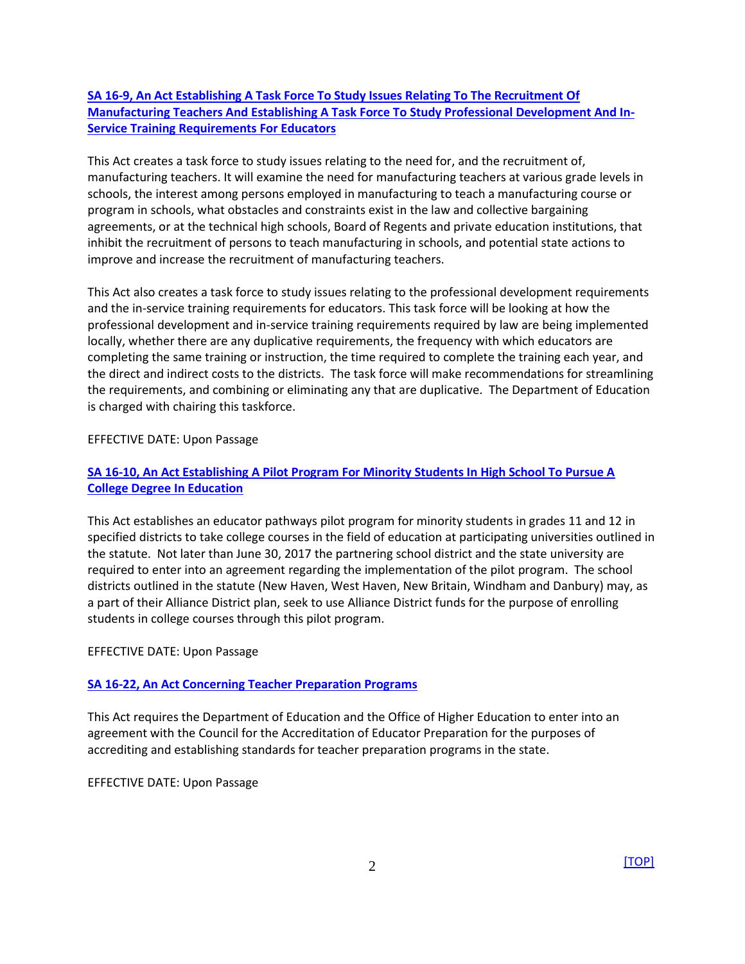## <span id="page-2-0"></span>**[SA 16-9, An Act Establishing A Task Force To Study Issues Relating To The Recruitment Of](https://www.cga.ct.gov/2016/ACT/sa/pdf/2016SA-00009-R00HB-05468-SA.pdf)  [Manufacturing Teachers And Establishing A Task Force To Study Professional Development And In-](https://www.cga.ct.gov/2016/ACT/sa/pdf/2016SA-00009-R00HB-05468-SA.pdf)[Service Training Requirements For Educators](https://www.cga.ct.gov/2016/ACT/sa/pdf/2016SA-00009-R00HB-05468-SA.pdf)**

This Act creates a task force to study issues relating to the need for, and the recruitment of, manufacturing teachers. It will examine the need for manufacturing teachers at various grade levels in schools, the interest among persons employed in manufacturing to teach a manufacturing course or program in schools, what obstacles and constraints exist in the law and collective bargaining agreements, or at the technical high schools, Board of Regents and private education institutions, that inhibit the recruitment of persons to teach manufacturing in schools, and potential state actions to improve and increase the recruitment of manufacturing teachers.

This Act also creates a task force to study issues relating to the professional development requirements and the in-service training requirements for educators. This task force will be looking at how the professional development and in-service training requirements required by law are being implemented locally, whether there are any duplicative requirements, the frequency with which educators are completing the same training or instruction, the time required to complete the training each year, and the direct and indirect costs to the districts. The task force will make recommendations for streamlining the requirements, and combining or eliminating any that are duplicative. The Department of Education is charged with chairing this taskforce.

#### EFFECTIVE DATE: Upon Passage

## <span id="page-2-1"></span>**[SA 16-10, An Act Establishing A Pilot Program For Minority Students In High School To Pursue A](https://www.cga.ct.gov/2016/ACT/sa/pdf/2016SA-00010-R00HB-05470-SA.pdf)  [College Degree In Education](https://www.cga.ct.gov/2016/ACT/sa/pdf/2016SA-00010-R00HB-05470-SA.pdf)**

This Act establishes an educator pathways pilot program for minority students in grades 11 and 12 in specified districts to take college courses in the field of education at participating universities outlined in the statute. Not later than June 30, 2017 the partnering school district and the state university are required to enter into an agreement regarding the implementation of the pilot program. The school districts outlined in the statute (New Haven, West Haven, New Britain, Windham and Danbury) may, as a part of their Alliance District plan, seek to use Alliance District funds for the purpose of enrolling students in college courses through this pilot program.

#### EFFECTIVE DATE: Upon Passage

## <span id="page-2-2"></span>**[SA 16-22, An Act Concerning Teacher Preparation Programs](https://www.cga.ct.gov/2016/ACT/sa/pdf/2016SA-00022-R00SB-00382-SA.pdf)**

This Act requires the Department of Education and the Office of Higher Education to enter into an agreement with the Council for the Accreditation of Educator Preparation for the purposes of accrediting and establishing standards for teacher preparation programs in the state.

#### EFFECTIVE DATE: Upon Passage

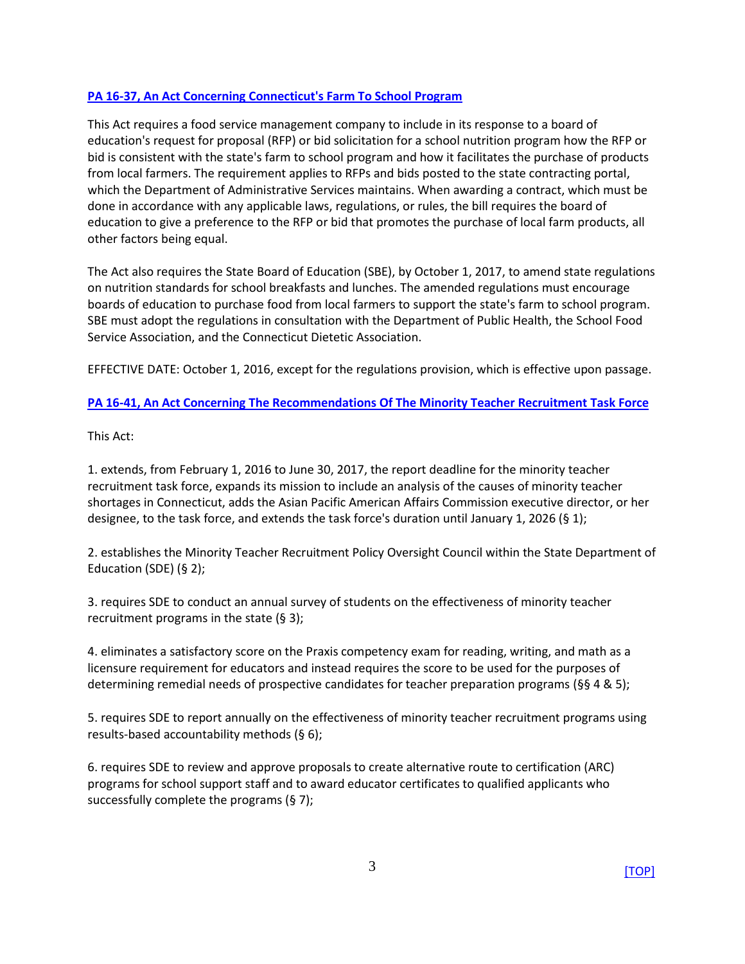## <span id="page-3-0"></span>**PA 16-37, An [Act Concerning Connecticut's Farm To School Program](https://www.cga.ct.gov/2016/ACT/pa/pdf/2016PA-00037-R00SB-00076-PA.pdf)**

This Act requires a food service management company to include in its response to a board of education's request for proposal (RFP) or bid solicitation for a school nutrition program how the RFP or bid is consistent with the state's farm to school program and how it facilitates the purchase of products from local farmers. The requirement applies to RFPs and bids posted to the state contracting portal, which the Department of Administrative Services maintains. When awarding a contract, which must be done in accordance with any applicable laws, regulations, or rules, the bill requires the board of education to give a preference to the RFP or bid that promotes the purchase of local farm products, all other factors being equal.

The Act also requires the State Board of Education (SBE), by October 1, 2017, to amend state regulations on nutrition standards for school breakfasts and lunches. The amended regulations must encourage boards of education to purchase food from local farmers to support the state's farm to school program. SBE must adopt the regulations in consultation with the Department of Public Health, the School Food Service Association, and the Connecticut Dietetic Association.

<span id="page-3-1"></span>EFFECTIVE DATE: October 1, 2016, except for the regulations provision, which is effective upon passage.

**[PA 16-41, An Act Concerning The Recommendations Of The Minority Teacher Recruitment Task Force](https://www.cga.ct.gov/2016/ACT/pa/pdf/2016PA-00041-R00SB-00379-PA.pdf)**

This Act:

1. extends, from February 1, 2016 to June 30, 2017, the report deadline for the minority teacher recruitment task force, expands its mission to include an analysis of the causes of minority teacher shortages in Connecticut, adds the Asian Pacific American Affairs Commission executive director, or her designee, to the task force, and extends the task force's duration until January 1, 2026 (§ 1);

2. establishes the Minority Teacher Recruitment Policy Oversight Council within the State Department of Education (SDE) (§ 2);

3. requires SDE to conduct an annual survey of students on the effectiveness of minority teacher recruitment programs in the state (§ 3);

4. eliminates a satisfactory score on the Praxis competency exam for reading, writing, and math as a licensure requirement for educators and instead requires the score to be used for the purposes of determining remedial needs of prospective candidates for teacher preparation programs (§§ 4 & 5);

5. requires SDE to report annually on the effectiveness of minority teacher recruitment programs using results-based accountability methods (§ 6);

6. requires SDE to review and approve proposals to create alternative route to certification (ARC) programs for school support staff and to award educator certificates to qualified applicants who successfully complete the programs (§ 7);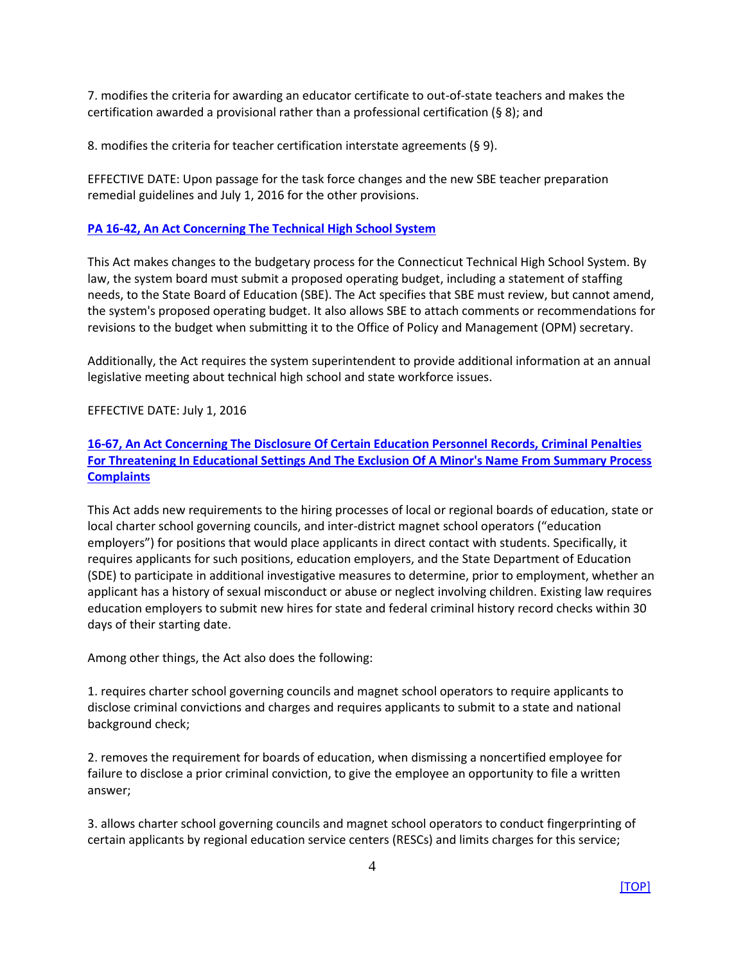7. modifies the criteria for awarding an educator certificate to out-of-state teachers and makes the certification awarded a provisional rather than a professional certification (§ 8); and

8. modifies the criteria for teacher certification interstate agreements (§ 9).

EFFECTIVE DATE: Upon passage for the task force changes and the new SBE teacher preparation remedial guidelines and July 1, 2016 for the other provisions.

## <span id="page-4-0"></span>**[PA 16-42, An Act Concerning The Technical High School System](https://www.cga.ct.gov/2016/ACT/pa/pdf/2016PA-00042-R00SB-00383-PA.pdf)**

This Act makes changes to the budgetary process for the Connecticut Technical High School System. By law, the system board must submit a proposed operating budget, including a statement of staffing needs, to the State Board of Education (SBE). The Act specifies that SBE must review, but cannot amend, the system's proposed operating budget. It also allows SBE to attach comments or recommendations for revisions to the budget when submitting it to the Office of Policy and Management (OPM) secretary.

Additionally, the Act requires the system superintendent to provide additional information at an annual legislative meeting about technical high school and state workforce issues.

## EFFECTIVE DATE: July 1, 2016

<span id="page-4-1"></span>**[16-67, An Act Concerning The Disclosure Of Certain Education Personnel Records, Criminal Penalties](https://www.cga.ct.gov/2016/ACT/pa/pdf/2016PA-00067-R00HB-05400-PA.pdf)  [For Threatening In Educational Settings And The Exclusion Of A Minor's Name From Summary Process](https://www.cga.ct.gov/2016/ACT/pa/pdf/2016PA-00067-R00HB-05400-PA.pdf)  [Complaints](https://www.cga.ct.gov/2016/ACT/pa/pdf/2016PA-00067-R00HB-05400-PA.pdf)**

This Act adds new requirements to the hiring processes of local or regional boards of education, state or local charter school governing councils, and inter-district magnet school operators ("education employers") for positions that would place applicants in direct contact with students. Specifically, it requires applicants for such positions, education employers, and the State Department of Education (SDE) to participate in additional investigative measures to determine, prior to employment, whether an applicant has a history of sexual misconduct or abuse or neglect involving children. Existing law requires education employers to submit new hires for state and federal criminal history record checks within 30 days of their starting date.

Among other things, the Act also does the following:

1. requires charter school governing councils and magnet school operators to require applicants to disclose criminal convictions and charges and requires applicants to submit to a state and national background check;

2. removes the requirement for boards of education, when dismissing a noncertified employee for failure to disclose a prior criminal conviction, to give the employee an opportunity to file a written answer;

3. allows charter school governing councils and magnet school operators to conduct fingerprinting of certain applicants by regional education service centers (RESCs) and limits charges for this service;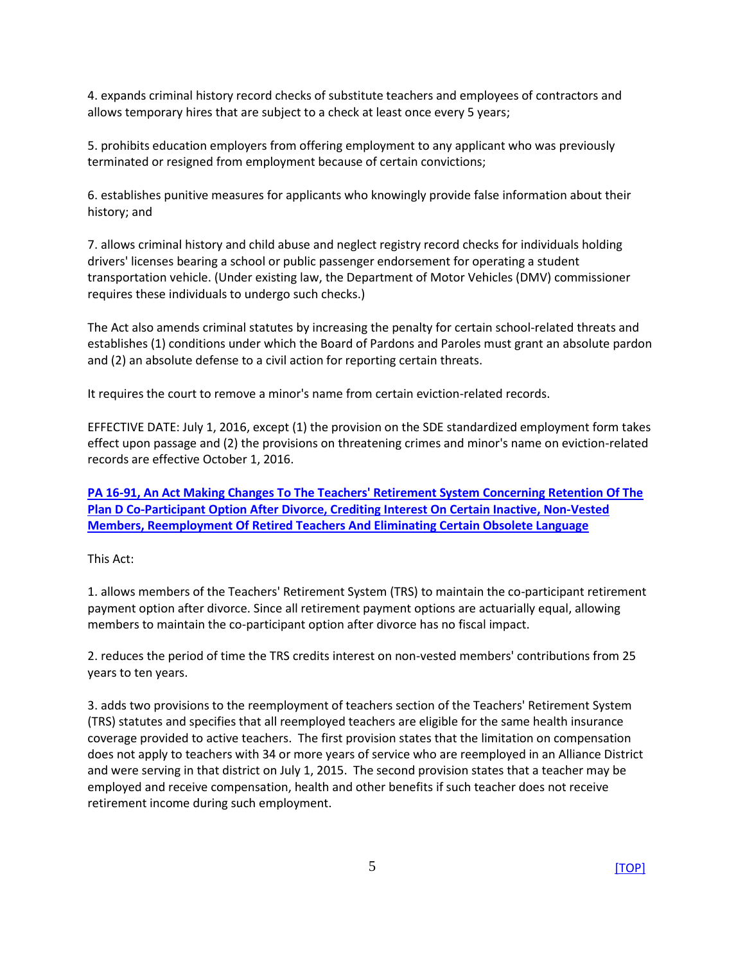4. expands criminal history record checks of substitute teachers and employees of contractors and allows temporary hires that are subject to a check at least once every 5 years;

5. prohibits education employers from offering employment to any applicant who was previously terminated or resigned from employment because of certain convictions;

6. establishes punitive measures for applicants who knowingly provide false information about their history; and

7. allows criminal history and child abuse and neglect registry record checks for individuals holding drivers' licenses bearing a school or public passenger endorsement for operating a student transportation vehicle. (Under existing law, the Department of Motor Vehicles (DMV) commissioner requires these individuals to undergo such checks.)

The Act also amends criminal statutes by increasing the penalty for certain school-related threats and establishes (1) conditions under which the Board of Pardons and Paroles must grant an absolute pardon and (2) an absolute defense to a civil action for reporting certain threats.

It requires the court to remove a minor's name from certain eviction-related records.

EFFECTIVE DATE: July 1, 2016, except (1) the provision on the SDE standardized employment form takes effect upon passage and (2) the provisions on threatening crimes and minor's name on eviction-related records are effective October 1, 2016.

<span id="page-5-0"></span>**[PA 16-91, An Act Making Changes To The Teachers' Retirement System Concerning Retention Of The](https://www.cga.ct.gov/2016/ACT/pa/pdf/2016PA-00091-R00SB-00267-PA.pdf)  [Plan D Co-Participant Option After Divorce, Crediting Interest On Certain Inactive, Non-Vested](https://www.cga.ct.gov/2016/ACT/pa/pdf/2016PA-00091-R00SB-00267-PA.pdf)  [Members, Reemployment Of Retired Teachers And Eliminating Certain Obsolete Language](https://www.cga.ct.gov/2016/ACT/pa/pdf/2016PA-00091-R00SB-00267-PA.pdf)**

This Act:

1. allows members of the Teachers' Retirement System (TRS) to maintain the co-participant retirement payment option after divorce. Since all retirement payment options are actuarially equal, allowing members to maintain the co-participant option after divorce has no fiscal impact.

2. reduces the period of time the TRS credits interest on non-vested members' contributions from 25 years to ten years.

3. adds two provisions to the reemployment of teachers section of the Teachers' Retirement System (TRS) statutes and specifies that all reemployed teachers are eligible for the same health insurance coverage provided to active teachers. The first provision states that the limitation on compensation does not apply to teachers with 34 or more years of service who are reemployed in an Alliance District and were serving in that district on July 1, 2015. The second provision states that a teacher may be employed and receive compensation, health and other benefits if such teacher does not receive retirement income during such employment.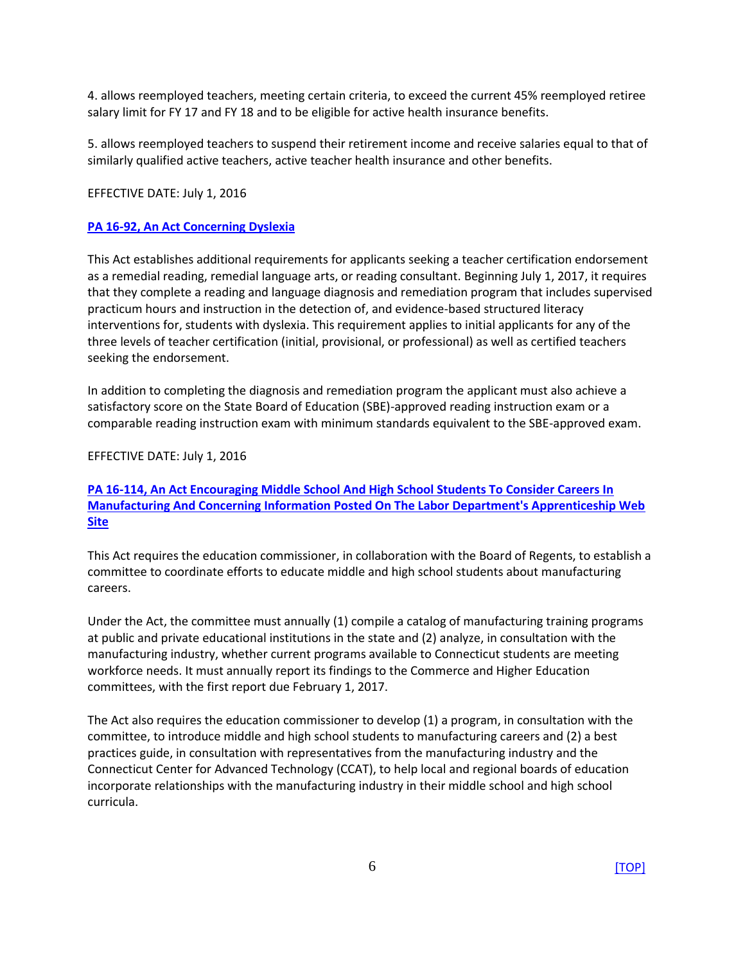4. allows reemployed teachers, meeting certain criteria, to exceed the current 45% reemployed retiree salary limit for FY 17 and FY 18 and to be eligible for active health insurance benefits.

5. allows reemployed teachers to suspend their retirement income and receive salaries equal to that of similarly qualified active teachers, active teacher health insurance and other benefits.

#### <span id="page-6-0"></span>EFFECTIVE DATE: July 1, 2016

#### **[PA 16-92, An Act Concerning Dyslexia](https://www.cga.ct.gov/2016/ACT/pa/pdf/2016PA-00092-R00SB-00317-PA.pdf)**

This Act establishes additional requirements for applicants seeking a teacher certification endorsement as a remedial reading, remedial language arts, or reading consultant. Beginning July 1, 2017, it requires that they complete a reading and language diagnosis and remediation program that includes supervised practicum hours and instruction in the detection of, and evidence-based structured literacy interventions for, students with dyslexia. This requirement applies to initial applicants for any of the three levels of teacher certification (initial, provisional, or professional) as well as certified teachers seeking the endorsement.

In addition to completing the diagnosis and remediation program the applicant must also achieve a satisfactory score on the State Board of Education (SBE)-approved reading instruction exam or a comparable reading instruction exam with minimum standards equivalent to the SBE-approved exam.

#### <span id="page-6-1"></span>EFFECTIVE DATE: July 1, 2016

## **PA 16-114, An [Act Encouraging Middle School And High School Students To Consider Careers In](https://www.cga.ct.gov/2016/ACT/pa/pdf/2016PA-00114-R00HB-05423-PA.pdf)  [Manufacturing And Concerning Information Posted On The Labor Department's Apprenticeship Web](https://www.cga.ct.gov/2016/ACT/pa/pdf/2016PA-00114-R00HB-05423-PA.pdf)  [Site](https://www.cga.ct.gov/2016/ACT/pa/pdf/2016PA-00114-R00HB-05423-PA.pdf)**

This Act requires the education commissioner, in collaboration with the Board of Regents, to establish a committee to coordinate efforts to educate middle and high school students about manufacturing careers.

Under the Act, the committee must annually (1) compile a catalog of manufacturing training programs at public and private educational institutions in the state and (2) analyze, in consultation with the manufacturing industry, whether current programs available to Connecticut students are meeting workforce needs. It must annually report its findings to the Commerce and Higher Education committees, with the first report due February 1, 2017.

The Act also requires the education commissioner to develop (1) a program, in consultation with the committee, to introduce middle and high school students to manufacturing careers and (2) a best practices guide, in consultation with representatives from the manufacturing industry and the Connecticut Center for Advanced Technology (CCAT), to help local and regional boards of education incorporate relationships with the manufacturing industry in their middle school and high school curricula.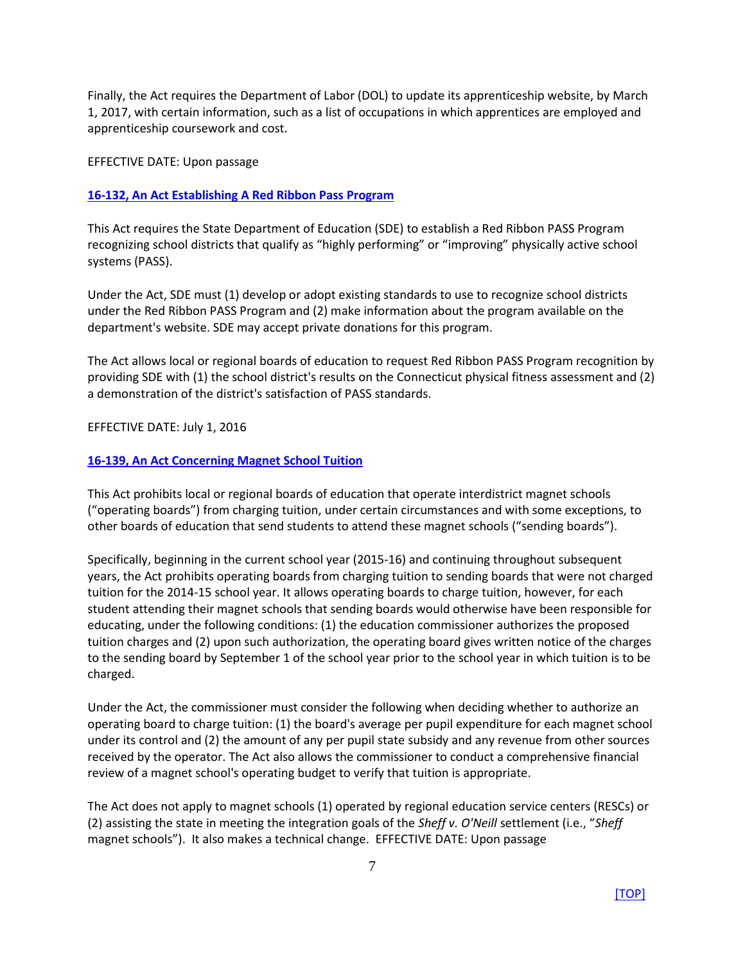Finally, the Act requires the Department of Labor (DOL) to update its apprenticeship website, by March 1, 2017, with certain information, such as a list of occupations in which apprentices are employed and apprenticeship coursework and cost.

EFFECTIVE DATE: Upon passage

## <span id="page-7-0"></span>**[16-132, An Act Establishing A Red Ribbon Pass Program](https://www.cga.ct.gov/2016/ACT/pa/pdf/2016PA-00132-R00HB-05467-PA.pdf)**

This Act requires the State Department of Education (SDE) to establish a Red Ribbon PASS Program recognizing school districts that qualify as "highly performing" or "improving" physically active school systems (PASS).

Under the Act, SDE must (1) develop or adopt existing standards to use to recognize school districts under the Red Ribbon PASS Program and (2) make information about the program available on the department's website. SDE may accept private donations for this program.

The Act allows local or regional boards of education to request Red Ribbon PASS Program recognition by providing SDE with (1) the school district's results on the Connecticut physical fitness assessment and (2) a demonstration of the district's satisfaction of PASS standards.

#### EFFECTIVE DATE: July 1, 2016

#### <span id="page-7-1"></span>**[16-139, An Act Concerning Magnet School Tuition](https://www.cga.ct.gov/2016/ACT/pa/pdf/2016PA-00139-R00HB-05553-PA.pdf)**

This Act prohibits local or regional boards of education that operate interdistrict magnet schools ("operating boards") from charging tuition, under certain circumstances and with some exceptions, to other boards of education that send students to attend these magnet schools ("sending boards").

Specifically, beginning in the current school year (2015-16) and continuing throughout subsequent years, the Act prohibits operating boards from charging tuition to sending boards that were not charged tuition for the 2014-15 school year. It allows operating boards to charge tuition, however, for each student attending their magnet schools that sending boards would otherwise have been responsible for educating, under the following conditions: (1) the education commissioner authorizes the proposed tuition charges and (2) upon such authorization, the operating board gives written notice of the charges to the sending board by September 1 of the school year prior to the school year in which tuition is to be charged.

Under the Act, the commissioner must consider the following when deciding whether to authorize an operating board to charge tuition: (1) the board's average per pupil expenditure for each magnet school under its control and (2) the amount of any per pupil state subsidy and any revenue from other sources received by the operator. The Act also allows the commissioner to conduct a comprehensive financial review of a magnet school's operating budget to verify that tuition is appropriate.

The Act does not apply to magnet schools (1) operated by regional education service centers (RESCs) or (2) assisting the state in meeting the integration goals of the *Sheff v. O'Neill* settlement (i.e., "*Sheff* magnet schools"). It also makes a technical change. EFFECTIVE DATE: Upon passage

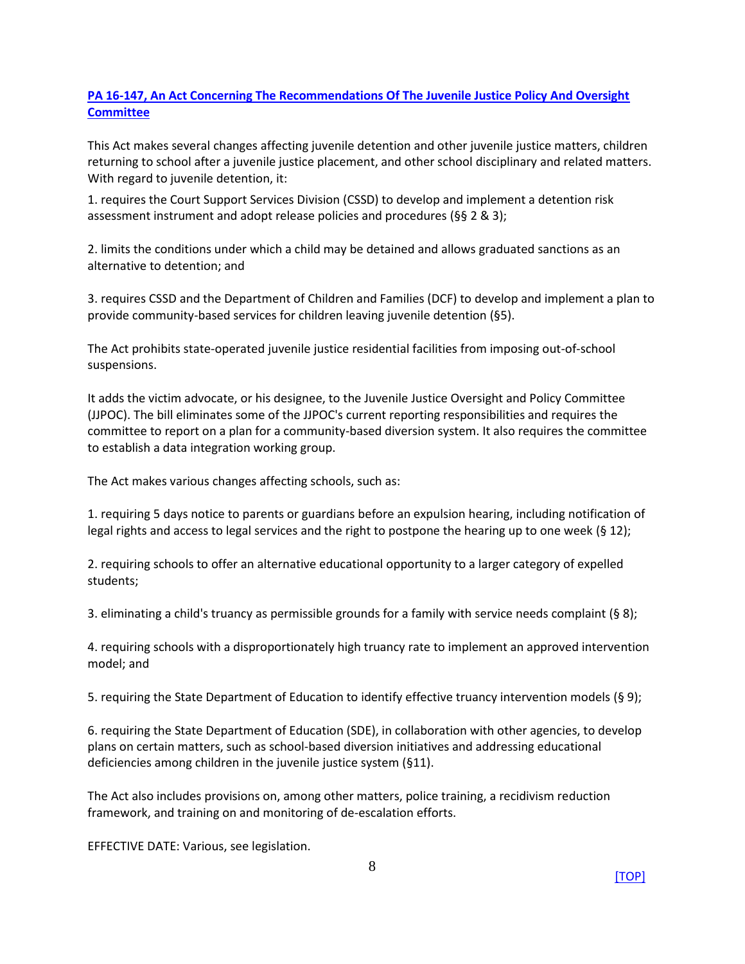## <span id="page-8-0"></span>**[PA 16-147, An Act Concerning The Recommendations Of The Juvenile Justice Policy And Oversight](https://www.cga.ct.gov/2016/ACT/pa/pdf/2016PA-00147-R00HB-05642-PA.pdf)  [Committee](https://www.cga.ct.gov/2016/ACT/pa/pdf/2016PA-00147-R00HB-05642-PA.pdf)**

This Act makes several changes affecting juvenile detention and other juvenile justice matters, children returning to school after a juvenile justice placement, and other school disciplinary and related matters. With regard to juvenile detention, it:

1. requires the Court Support Services Division (CSSD) to develop and implement a detention risk assessment instrument and adopt release policies and procedures (§§ 2 & 3);

2. limits the conditions under which a child may be detained and allows graduated sanctions as an alternative to detention; and

3. requires CSSD and the Department of Children and Families (DCF) to develop and implement a plan to provide community-based services for children leaving juvenile detention (§5).

The Act prohibits state-operated juvenile justice residential facilities from imposing out-of-school suspensions.

It adds the victim advocate, or his designee, to the Juvenile Justice Oversight and Policy Committee (JJPOC). The bill eliminates some of the JJPOC's current reporting responsibilities and requires the committee to report on a plan for a community-based diversion system. It also requires the committee to establish a data integration working group.

The Act makes various changes affecting schools, such as:

1. requiring 5 days notice to parents or guardians before an expulsion hearing, including notification of legal rights and access to legal services and the right to postpone the hearing up to one week (§ 12);

2. requiring schools to offer an alternative educational opportunity to a larger category of expelled students;

3. eliminating a child's truancy as permissible grounds for a family with service needs complaint (§ 8);

4. requiring schools with a disproportionately high truancy rate to implement an approved intervention model; and

5. requiring the State Department of Education to identify effective truancy intervention models (§ 9);

6. requiring the State Department of Education (SDE), in collaboration with other agencies, to develop plans on certain matters, such as school-based diversion initiatives and addressing educational deficiencies among children in the juvenile justice system (§11).

The Act also includes provisions on, among other matters, police training, a recidivism reduction framework, and training on and monitoring of de-escalation efforts.

<span id="page-8-1"></span>EFFECTIVE DATE: Various, see legislation.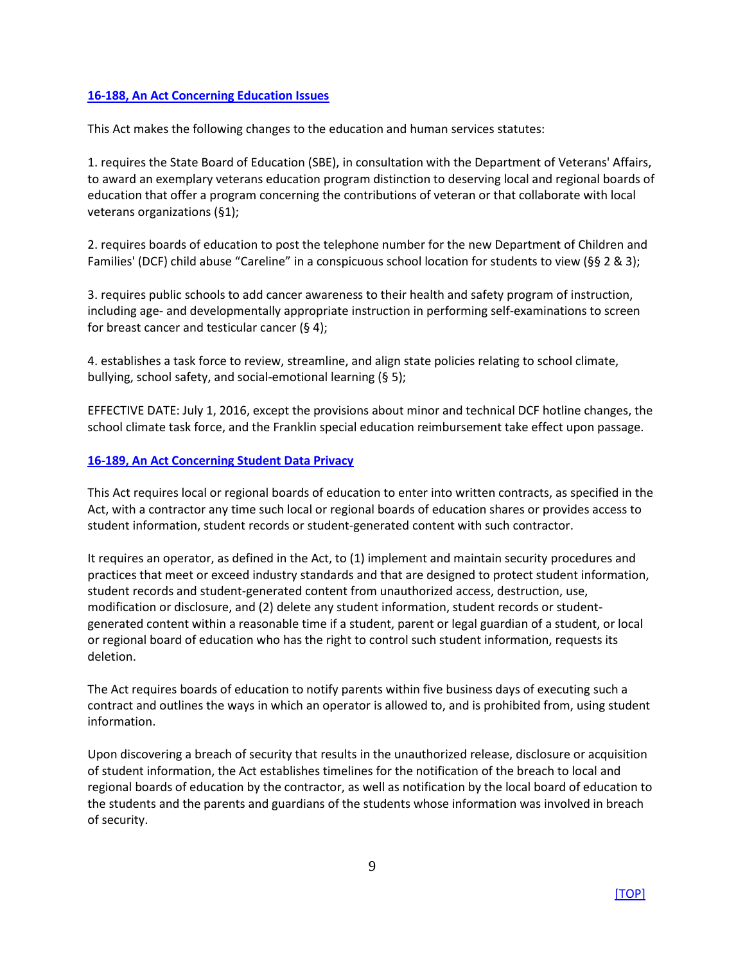#### **[16-188, An Act Concerning Education Issues](https://www.cga.ct.gov/2016/ACT/pa/pdf/2016PA-00188-R00SB-00179-PA.pdf)**

This Act makes the following changes to the education and human services statutes:

1. requires the State Board of Education (SBE), in consultation with the Department of Veterans' Affairs, to award an exemplary veterans education program distinction to deserving local and regional boards of education that offer a program concerning the contributions of veteran or that collaborate with local veterans organizations (§1);

2. requires boards of education to post the telephone number for the new Department of Children and Families' (DCF) child abuse "Careline" in a conspicuous school location for students to view (§§ 2 & 3);

3. requires public schools to add cancer awareness to their health and safety program of instruction, including age- and developmentally appropriate instruction in performing self-examinations to screen for breast cancer and testicular cancer (§ 4);

4. establishes a task force to review, streamline, and align state policies relating to school climate, bullying, school safety, and social-emotional learning (§ 5);

EFFECTIVE DATE: July 1, 2016, except the provisions about minor and technical DCF hotline changes, the school climate task force, and the Franklin special education reimbursement take effect upon passage.

#### <span id="page-9-0"></span>**[16-189, An Act Concerning Student Data Privacy](https://www.cga.ct.gov/2016/ACT/pa/pdf/2016PA-00189-R00HB-05469-PA.pdf)**

This Act requires local or regional boards of education to enter into written contracts, as specified in the Act, with a contractor any time such local or regional boards of education shares or provides access to student information, student records or student-generated content with such contractor.

It requires an operator, as defined in the Act, to (1) implement and maintain security procedures and practices that meet or exceed industry standards and that are designed to protect student information, student records and student-generated content from unauthorized access, destruction, use, modification or disclosure, and (2) delete any student information, student records or studentgenerated content within a reasonable time if a student, parent or legal guardian of a student, or local or regional board of education who has the right to control such student information, requests its deletion.

The Act requires boards of education to notify parents within five business days of executing such a contract and outlines the ways in which an operator is allowed to, and is prohibited from, using student information.

Upon discovering a breach of security that results in the unauthorized release, disclosure or acquisition of student information, the Act establishes timelines for the notification of the breach to local and regional boards of education by the contractor, as well as notification by the local board of education to the students and the parents and guardians of the students whose information was involved in breach of security.

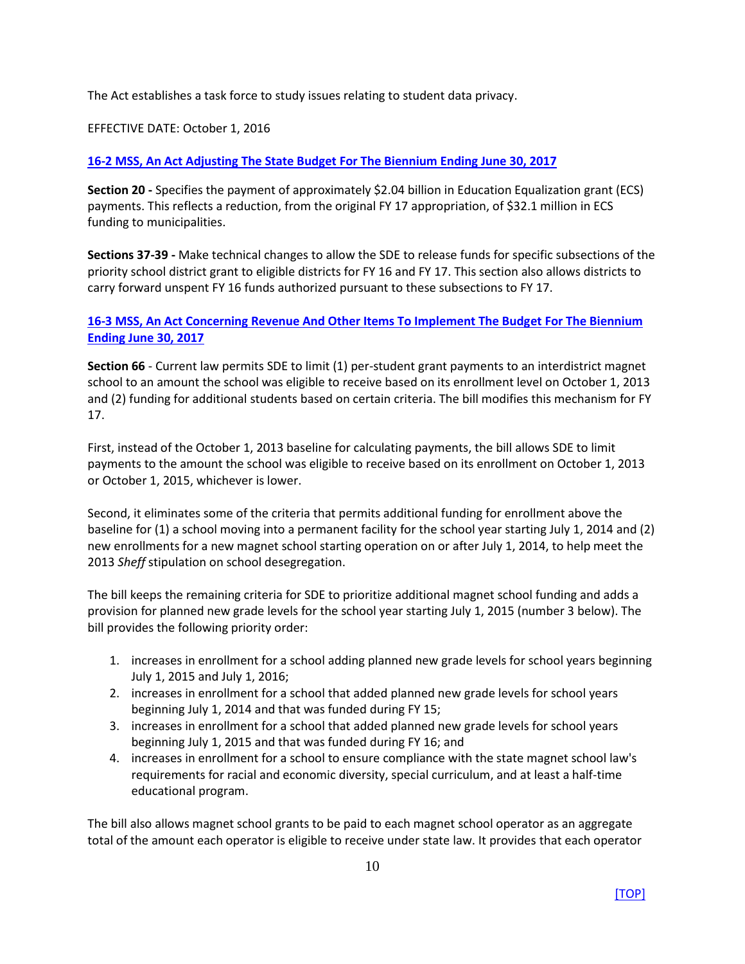The Act establishes a task force to study issues relating to student data privacy.

EFFECTIVE DATE: October 1, 2016

## <span id="page-10-0"></span>**16-2 MSS, An [Act Adjusting The State Budget For The Biennium Ending June 30, 2017](https://www.cga.ct.gov/2016/ACT/pa/pdf/2016PA-00002-R00SB-00501SS1-PA.pdf)**

**Section 20 -** Specifies the payment of approximately \$2.04 billion in Education Equalization grant (ECS) payments. This reflects a reduction, from the original FY 17 appropriation, of \$32.1 million in ECS funding to municipalities.

**Sections 37-39 -** Make technical changes to allow the SDE to release funds for specific subsections of the priority school district grant to eligible districts for FY 16 and FY 17. This section also allows districts to carry forward unspent FY 16 funds authorized pursuant to these subsections to FY 17.

## <span id="page-10-1"></span>**[16-3 MSS, An Act Concerning Revenue And Other Items To Implement The Budget For The Biennium](https://www.cga.ct.gov/2016/ACT/pa/pdf/2016PA-00003-R00SB-00502SS1-PA.pdf)  [Ending June 30, 2017](https://www.cga.ct.gov/2016/ACT/pa/pdf/2016PA-00003-R00SB-00502SS1-PA.pdf)**

**Section 66** - Current law permits SDE to limit (1) per-student grant payments to an interdistrict magnet school to an amount the school was eligible to receive based on its enrollment level on October 1, 2013 and (2) funding for additional students based on certain criteria. The bill modifies this mechanism for FY 17.

First, instead of the October 1, 2013 baseline for calculating payments, the bill allows SDE to limit payments to the amount the school was eligible to receive based on its enrollment on October 1, 2013 or October 1, 2015, whichever is lower.

Second, it eliminates some of the criteria that permits additional funding for enrollment above the baseline for (1) a school moving into a permanent facility for the school year starting July 1, 2014 and (2) new enrollments for a new magnet school starting operation on or after July 1, 2014, to help meet the 2013 *Sheff* stipulation on school desegregation.

The bill keeps the remaining criteria for SDE to prioritize additional magnet school funding and adds a provision for planned new grade levels for the school year starting July 1, 2015 (number 3 below). The bill provides the following priority order:

- 1. increases in enrollment for a school adding planned new grade levels for school years beginning July 1, 2015 and July 1, 2016;
- 2. increases in enrollment for a school that added planned new grade levels for school years beginning July 1, 2014 and that was funded during FY 15;
- 3. increases in enrollment for a school that added planned new grade levels for school years beginning July 1, 2015 and that was funded during FY 16; and
- 4. increases in enrollment for a school to ensure compliance with the state magnet school law's requirements for racial and economic diversity, special curriculum, and at least a half-time educational program.

The bill also allows magnet school grants to be paid to each magnet school operator as an aggregate total of the amount each operator is eligible to receive under state law. It provides that each operator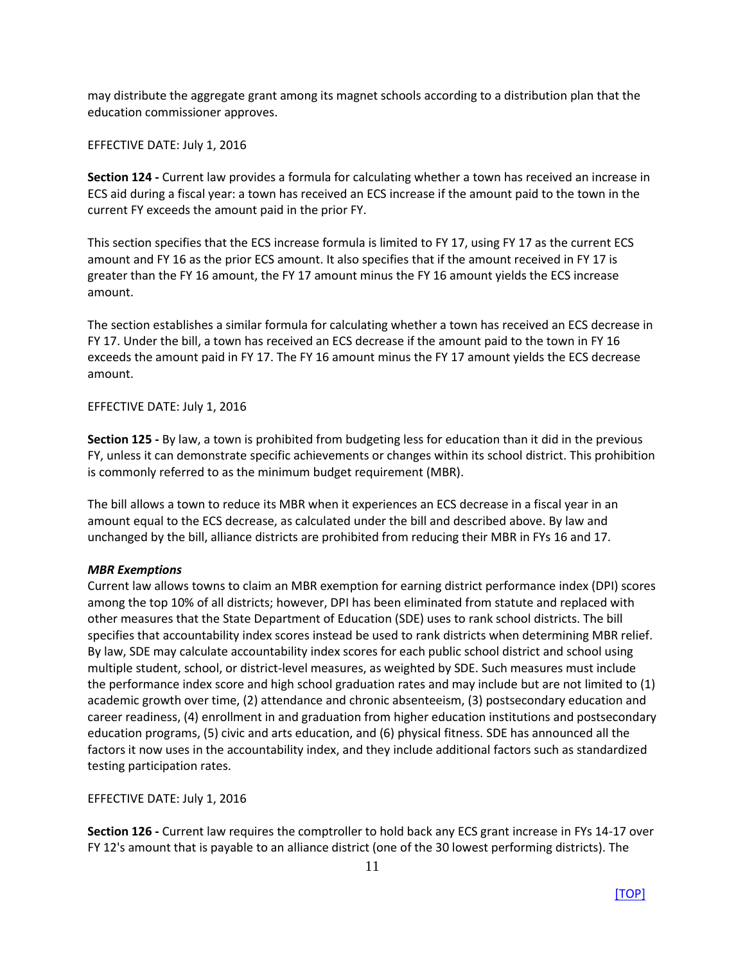may distribute the aggregate grant among its magnet schools according to a distribution plan that the education commissioner approves.

## EFFECTIVE DATE: July 1, 2016

**Section 124 -** Current law provides a formula for calculating whether a town has received an increase in ECS aid during a fiscal year: a town has received an ECS increase if the amount paid to the town in the current FY exceeds the amount paid in the prior FY.

This section specifies that the ECS increase formula is limited to FY 17, using FY 17 as the current ECS amount and FY 16 as the prior ECS amount. It also specifies that if the amount received in FY 17 is greater than the FY 16 amount, the FY 17 amount minus the FY 16 amount yields the ECS increase amount.

The section establishes a similar formula for calculating whether a town has received an ECS decrease in FY 17. Under the bill, a town has received an ECS decrease if the amount paid to the town in FY 16 exceeds the amount paid in FY 17. The FY 16 amount minus the FY 17 amount yields the ECS decrease amount.

#### EFFECTIVE DATE: July 1, 2016

**Section 125 -** By law, a town is prohibited from budgeting less for education than it did in the previous FY, unless it can demonstrate specific achievements or changes within its school district. This prohibition is commonly referred to as the minimum budget requirement (MBR).

The bill allows a town to reduce its MBR when it experiences an ECS decrease in a fiscal year in an amount equal to the ECS decrease, as calculated under the bill and described above. By law and unchanged by the bill, alliance districts are prohibited from reducing their MBR in FYs 16 and 17.

## *MBR Exemptions*

Current law allows towns to claim an MBR exemption for earning district performance index (DPI) scores among the top 10% of all districts; however, DPI has been eliminated from statute and replaced with other measures that the State Department of Education (SDE) uses to rank school districts. The bill specifies that accountability index scores instead be used to rank districts when determining MBR relief. By law, SDE may calculate accountability index scores for each public school district and school using multiple student, school, or district-level measures, as weighted by SDE. Such measures must include the performance index score and high school graduation rates and may include but are not limited to (1) academic growth over time, (2) attendance and chronic absenteeism, (3) postsecondary education and career readiness, (4) enrollment in and graduation from higher education institutions and postsecondary education programs, (5) civic and arts education, and (6) physical fitness. SDE has announced all the factors it now uses in the accountability index, and they include additional factors such as standardized testing participation rates.

EFFECTIVE DATE: July 1, 2016

**Section 126 -** Current law requires the comptroller to hold back any ECS grant increase in FYs 14-17 over FY 12's amount that is payable to an alliance district (one of the 30 lowest performing districts). The